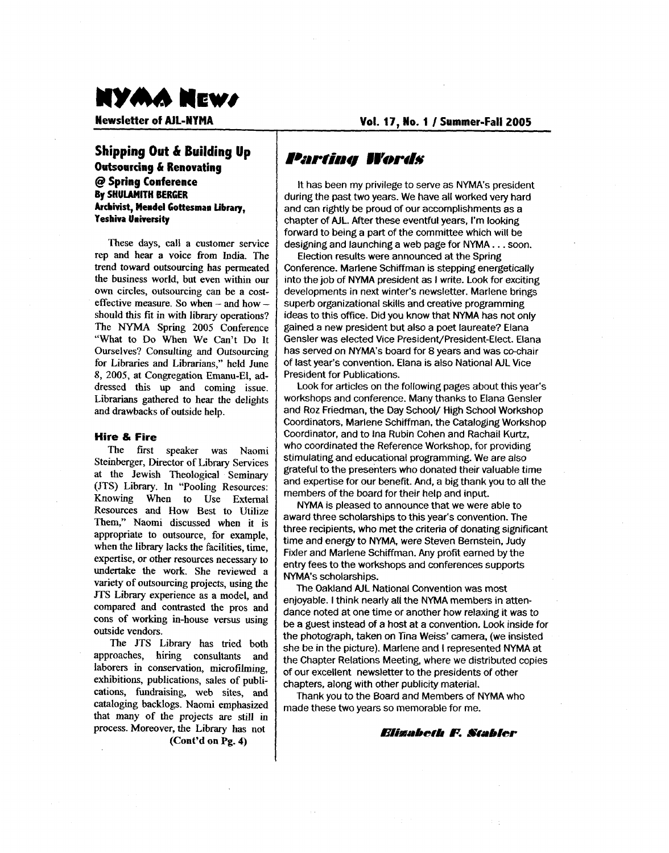

**Newsletter of AJL-NYMA** 

**Vol. 17, No. 1** / **Summer-Fall 2005** 

# **Shipping Out** & **Building Up Outsourcing & Renovating** @ **Spring Conference By SHUIAMITH BERGER Archivist, Mendel Gottesmas Library, Yeshiva University**

These days, call a customer service rep and hear a voice from India. The trend toward outsourcing has permeated the business world, but even within our own circles, outsourcing can be a costeffective measure. So when  $-$  and how  $$ should this fit in with library operations? The NYMA Spring 2005 Conference "What to Do When We Can't Do It Ourselves? Consulting and Outsourcing for Libraries and Librarians," held June 8, 2005, at Congregation Emanu-El, addressed this up and coming issue. Librarians gathered to hear the delights and drawbacks of outside help.

#### **Hire** & **Fire**

The first speaker was Naomi Steinberger, Director of Library Services at the Jewish Theological Seminary (JTS) Library. In "Pooling Resources: Knowing When to Use External Resources and How Best to Utilize Them," Naomi discussed when it is appropriate to outsource, for example, when the library lacks the facilities, time, expertise, or other resources necessary **to**  undertake the **work.** She reviewed **a**  variety *of* outsourcing projects, using the JTS Library experience **as** a model, and compared and contrasted the pros and cons of working in-house versus using outside vendors.

The JTS Library has tried both approaches, hiring consultants and laborers in conservation, microfilming, exhibitions, publications, sales of publications, fundraising, web sites, and cataloging backlogs. Naomi emphasized that many of the projects are still in process. Moreover, the Library has not **(Cont'd on Pg. 4)** 

# Parting Words

It has been my privilege to serve as NYMA's president during the past two years. We have all worked very hard and can rightly be proud of our accomplishments as a chapter of AIL. After these eventful years, I'm looking forward to being a part of the committee which will be designing and launching a web page for NYMA . . . soon.

Election results were announced at the Spring Conference. Marlene Schiffman is stepping energetically into the job of NYMA president as I write. Look for exciting developments in next winter's newsletter. Marlene brings superb organizational skills and creative programming ideas to this office. Did you know that NYMA has not only gained a new president but also a poet laureate? Elana Gensler was elected Vice President/President-Elect. Elana has served on NYMA's board for 8 years and was co-chair of last year's convention. Elana is also National *AIL* Vice President for Publications.

Look for articles on the following pages about this year's workshops and conference. Many thanks to Elana Gensler and Roz Friedman, the Day School/ High School Workshop Coordinators, Marlene Schiffman. the Cataloging Workshop Coordinator, and to Ina Rubin Cohen and Rachail Kurtz, who coordinated the Reference Workshop, for providing stimulating and educational programming. We are also grateful to the presenters who donated their valuable time and expertise for our benefit. And, a big thank you to all the members of the board for their help and input.

award three scholarships to this year's convention. The three recipients, who met the criteria of donating significant time and energy to NYMA, were Steven Bernstein, Judy Fixler and Marlene Schiffman. Any profit earned by the entry fees to the workshops and conferences supports NYMA's scholarships. NYMA is pleased to announce that we were able to

The Oakland AIL National Convention was most enjoyable. I think nearly all the NYMA members in attendance noted at one time or another how relaxing it was to be a guest instead **of a** host at a convention. Look inside for the photograph, taken on Tina Weiss' camera, (we insisted she be in the picture). Marlene and **I** represented NYMA at the Chapter Relations Meeting, where we distributed copies of our excellent newsletter to the presidents of other chapters, along with other publicity material.

made these two years so memorable for me. Thank you to the Board and Members of NYMA who

### **Elizabeth F. Stabler**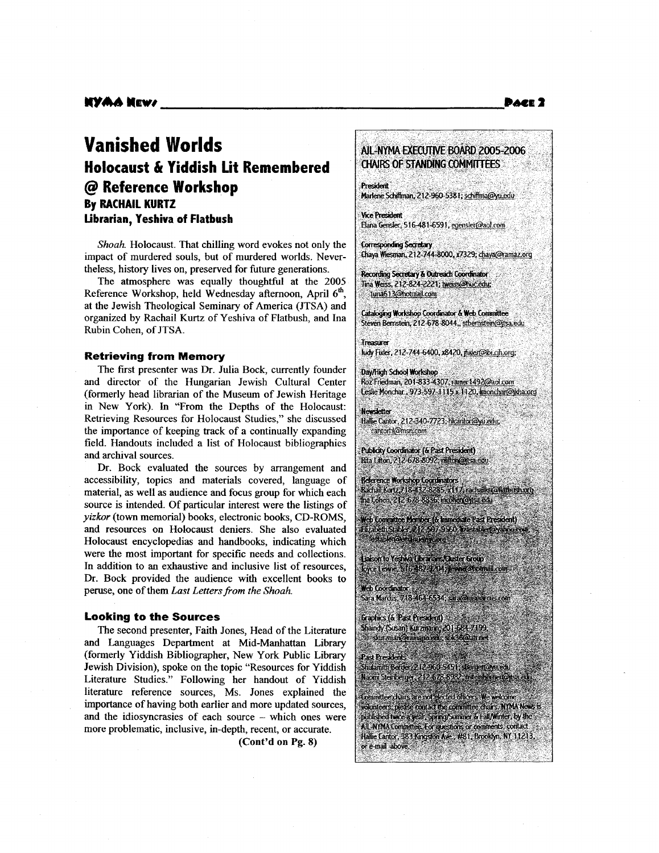# **Holocaust** & **Yiddish Lit Remembered Vanished Worlds**  @ **Reference Workshop By RACHAIL KURT2 Librarian, Yeshiva of Flatbush**

*Shoah* Holocaust. That chilling word evokes not only the impact of murdered souls, but of murdered worlds. Nevertheless, history lives on, preserved for future generations.

The atmosphere was equally thoughtful at the 2005 Reference Workshop, held Wednesday afternoon, April 6<sup>th</sup>, at the Jewish Theological Seminary of America (JTSA) and organized by Rachail Kurtz of Yeshiva of Flatbush, and ha Rubin Cohen, of JTSA.

#### **Retrieving from Memory**

The first presenter was Dr. Julia Bock, currently founder and director of the Hungarian Jewish Cultural Center (formerly head librarian of the Museum of Jewish Heritage in New York). In "From the Depths of the Holocaust: Retrieving Resources for Holocaust Studies," she discussed the importance of keeping track of a continually expanding field. Handouts included a list of Holocaust bibliographies and archival sources.

Dr. Bock evaluated the sources by arrangement and accessibility, topics and materials covered, language of material, **as** well **as** audience and focus group for which each source is intended. Of particular interest were the listings of *yizkor* (town memorial) books, electronic books, CD-ROMs, and resources on Holocaust deniers. She also evaluated Holocaust encyclopedias and handbooks, indicating which were the most important for specific needs and collections. In addition to **an** exhaustive and inclusive list of resources, **Dr.** Bock provided the audience with excellent books to peruse, one of them *Last Letters from the Shoah*.

#### **Looking to the Sources**

The second presenter, Faith Jones, Head of the Literature and Languages Department at Mid-Manhattan Library (formerly Yiddish Bibliographer, New York Public Library Jewish Division), spoke on the topic "Resources for Yiddish Literature Studies." Following her handout of Yiddish literature reference sources, Ms. Jones explained the importance of having both earlier and more updated sources, and the idiosyncrasies of each source - which ones were more problematic, inclusive, in-depth, recent, or accurate.

**(Coot'd on Pg. 8)** 

# **AIL-NYMA EXECUTIVE BOARD 2005-2006 CHAIRS OF STANDING COMMITTEES**

President Marlene Schiffman, 212-960-5381; schiffma@yu.edu

**Vice President** Elana Gensler, 516-481-6591, egensler@aol.com

**Corresponding Secretary** Chaya Wiesman, 212-744-8000, x7329; chaya@ramaz.org

Recording Secretary & Outreach Coordinator Tina Weiss, 212-824-2221; tweiss@huc.edu; tuna613@hotmail.com

Cataloging Workshop Coordinator & Web Committee Steven Bernstein, 212-678-8044, stbernstein@jtsa.edu

Ireasurer

ludy Fixler, 212-744-6400, x8420, fixler@lbi.cjh.org;

Day/High School Workshop Roz Friedman, 201-833-4307, ramer1492@aol.com Leslie Monchar, 973-597-1115 x 1120, monchar@jkha.org

Newsletter Hallie Cantor, 212-340-7723; hicantor@yu.edu; cantorh(@msrLcom

Publicity Coordinator (& Past President) Rita Lifton, 212-678-8092, elifton@isa.edu

**Reference Workshop Coordinators** Rachall Kurtz, 718-432-8285, x117, nachalloi (218th ish urq.<br>Ina Cohen, 212-578-8836, incohen (215. sku

Web Committee Member (& Inmediate Past President) Izabeth Stabet 2012, 507, 9500, Izastabet@yahoo.com<br>estabetra ena izienye org

Laison to Yeshika Libratans/Quster Group<br>Joyce Lenne, 5 to 487, 9204, journal distinguisem

Web Coordinator Sara Marcus, 718-464-6534, sara@nsmarcus.com

Graphics (& Past President) Shaindy (Susan) Kurzmann, 201-68-7/199.<br>Skurzman Oramano edu: sbl 360 att net

Past Presidents Shulamith Berger 212-960-5451; sterren@yrredu Naom Stenberger, 212 678-8982, usteinberger@tsa.edu

Committee chairs are not elected officers. We welcome wolunteers, please contact the committee chars. NTMA News is published twice a year, Spring/Summer & Fall/Minter, by the<br>All HYMA Committee, For questions or comments, contact Hallie Cantor, 383 Kingston Ave., #81, Brooklyn, NY 11213, or e-mail above.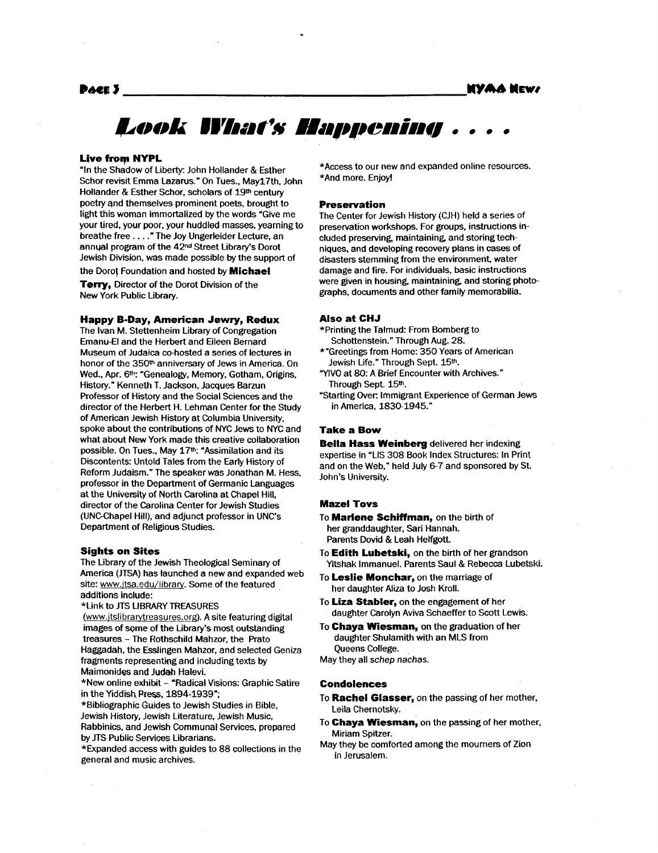#### **PACE 3**

# Look What's Happening .

#### **Live from NYPL**

"In the Shadow of Liberty: John Hollander & Esther Schor revisit Emma Lazarus." On Tues., May17th, John Hollander & Esther Schor, scholars of 19" century poetry qnd themselves prominent poets, brought to light this woman immortalized by the words "Give me your tired, your poor, your huddled masses, yearning to breathe free. . . ."The Joy Ungerleider Lecture, an annyal program of the **42"d** Street Library's Dorot Jewish Division, was made possible by the support of

the Dorot Foundation and hosted by **Michael** 

**Terry,** Director of the Dorot Division of the New York Public Library.

#### **Happy B-Day, American Jewry, Redux**

The Ivan M. Stettenheim Library of Congregation Emanu-El and the Herbert and Eileen Bernard Museum of Judaica co-hosted a series of lectures in honor of the 350<sup>th</sup> anniversary of Jews in America. On Wed., Apr. 6<sup>th</sup>: "Genealogy, Memory, Gotham, Origins, History." Kenneth T. Jackson, Jacques Barzun Professor of History and the Social Sciences and the director of the Herbert H. Lehman Center for the Study of American Jewish History at Columbia University, spoke about the contributions of NYC Jews to NYC and what about New York made this creative collaboration possible. On Tues., May 17th: "Assimilation and its Discontents: Untold Tales from the Early History of Reform Judaism." The speaker was Jonathan M. Hess, professor in the Department of Germanic Languages at the University of North Carolina at Chapel Hill, director of the Carolina Center for Jewish Studies (UNC-Chapel Hill), and adjunct professor in UNC's Department of Religious Studies.

#### **Sights on Sites**

The Library of the Jewish Theological Seminary of America (JTSA) has launched a new and expanded web site: www.jtsa.edu/library. Some of the featured additions include:

\*Link to JTS LIBRARY TREASURES

(www.itslibrarvtreasures.org). A site featuring digital images of some of the Library's most outstanding treasures - The Rothschild Mahzor, **the** Prato Haggadah, the Esslingen Mahzor. and selected Geniza fragments representiog and including texts by **Maimonides and Judah Halevi.** 

\*New online exhibit - "Radical Visions: Graphic Satire in the Yiddish **Press,** 1894-1939";

\*Bibliographic Guides to Jewish Studies in Bible, Jewish History, Jewish Literature, Jewish Music, Rabbinics, and Jewish Communal Services, prepared by JTS Public Services Librarians.

\*Expanded access with guides to 88 collections in the general and music archives.

\*Access to our new and expanded online resources. \*And more. Enjoy!

#### **Preservation**

The Center for Jewish History (CJH) held a series of preservation workshops. For groups, instructions included presewing. maintaining. and storing techniques, and developing recovery plans in cases of disasters stemming from the environment, water damage and fire. For individuals, basic instructions were given in housing. maintaining. and storing photographs, documents and other family memorabilia.

#### **Also at CHJ**

- \*Printing the Talmud: From Bomberg to Schottenstein." Through Aug. 28.
- \*"Greetings from Home: 350 Years of American Jewish Life." Through Sept. 15th.
- "YIVO at *80:* A Brief Encounter with Archives." Through Sept. **15th.**
- "Starting Over: Immigrant Experience of German Jews in America, 1830-1945."

#### **Take a Bow**

**Sella Hass Weinberg** delivered her indexing expertise in "LIS 308 Book Index Structures: In Print and on the Web," held July 6-7 and sponsored by St. John's University.

#### **Mazel Tovs**

- To **Marlene Schiffman,** on the birth of her granddaughter, Sari Hannah. Parents Dovid & Leah Hetfgott.
- Yitshak Immanuel. Parents Saul & Rebecca Lubetski. To **Edith Lubetski,** on the birth of her grandson
- To **Leslie Monchar,** on the marriage of her daughter Aliza to Josh Kroll.
- To **Lira Stabler,** on the engagement of her daughter Carolyn Aviva Schaeffer to Scott Lewis.
- To **Chaya Wiesman,** on the graduation of her daughter Shulamith with an MLS from Queens College.

May they all schep nachas.

#### **Condolences**

- To **Rachel Glasser,** on the passing of her mother, Leila Chernotsky.
- To **Chaya Wiesman,** on the passing of her mother, Miriam Spitzer.
- May they be comforted among the mourners of Zion in Jerusalem.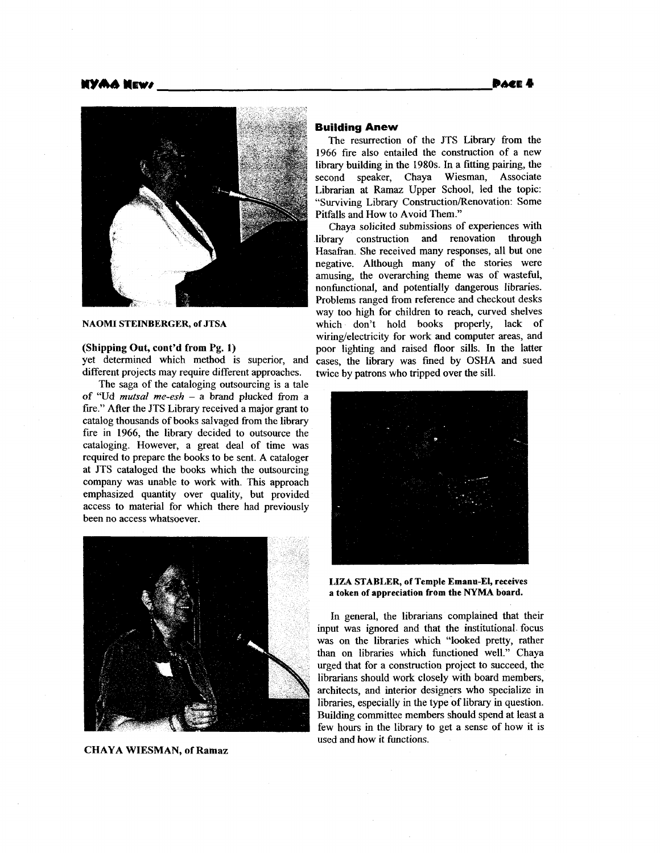#### **NYAA NEW**



#### **NAOMI STEINBERGER, of JTSA**

# **(Shipping Out, cont'd** from **Pg. 1)**

yet determined which method is superior, and different projects may require different approaches.

The saga of the cataloging outsourcing is a tale *of* "Ud *mutsal me-esh* - a brand plucked from a fire." After the JTS Library received a major grant to catalog thousands of books salvaged from the library fire in 1966, the library decided to outsource the cataloging. However, a great deal of time was required to prepare the books to be sent. A cataloger at JTS cataloged the books which the outsourcing company was unable to work with. This approach emphasized quantity over quality, but provided access to material for which there had previously been no access whatsoever.



CHAYA WIESMAN, of Ramaz

## **Building Anew**

The resurrection of the JTS Library from the 1966 fire also entailed the construction of a new library building in the 1980s. In a fitting pairing, the second speaker, Chaya Wiesman, Associate Librarian at Ramaz Upper School, led the topic: "Surviving Library **ConstructionlRenovation:** Some Pitfalls and How to Avoid Them."

Chaya solicited submissions of experiences with library construction and renovation through Hasafran. She received many responses, all but one negative. Although many of the stories were amusing, the overarching theme was of wasteful, nonfimctional, and potentially dangerous libraries. Problems ranged from reference and checkout desks way too high for children to reach, curved shelves which don't hold books properly, lack of wiring/electricity for work and computer areas, and poor lighting and raised floor sills. In the latter cases, the library was fined by OSHA and sued twice by patrons who tripped over the sill.



**LIZA STABLER, of Temple Emanu-El, receives a token of appreciation from the NYMA board.** 

In general, the librarians complained that their input was ignored and that the institutional. focus was on the libraries which "looked pretty, rather than on libraries which functioned well." Chaya urged that for a construction project to succeed, the librarians should work closely with board members, architects, and interior designers who specialize in libraries, especially in the type of library in question. Building committee members should spend at least a few hours in the library to get a sense of how it is used and how it functions.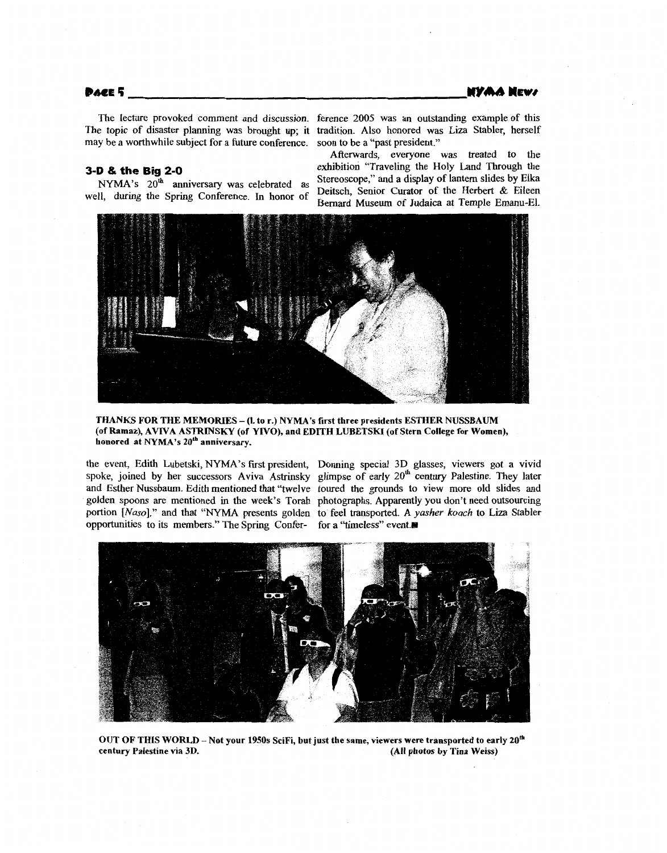The lecture provoked comment and discussion. ference 2005 was an outstanding example of this The topic of disaster planning was brought up; it tradition. Also honored was Liza Stabler, herself may be a worthwhile subject for a future conference. soon to be a "past president."

### **3-D** & **the Big** *2-0*

well, during the Spring Conference. **In** honor of NYMA's 20<sup>th</sup> anniversary was celebrated as

Afterwards, everyone was treated to the exhibition "Traveling- the Holy Land Through the Stereoscope," and a display of lantern slides by Elka **as** Deitsch, Senior Curator of the Herbert & Eileen Bernard Museum of Judaica at Temple Emanu-El.



**THANKS FOR THE MEMORIES** - **(I. to r.) NYMA's first three presidents ESTHER NUSSBAUM**  (of Ramaz), AVIVA ASTRINSKY (of YIVO), and EDITH LUBETSKI (of Stern College for Women), **honored at NYMA's 20" anniversary.** 

spoke, joined by her successors Aviva Astrinsky glimpse of early 20<sup>th</sup> century Palestine. They later and Esther Nussbaum. Edith mentioned that "twelve toured the grounds to view more old slides and golden spoons are mentioned in the week's Torah photographs. Apparently you don't need outsourcing portion *[Naso]*," and that "NYMA presents golden to feel transported. A *yasher koach* to Liza Stabler opportunities to its members." The Spring Confer- for a "timeless" event.

the event, Edith Lubetski, NYMA's first president, Donning special 3D glasses, viewers got **a** vivid



OUT OF THIS WORLD -- Not your 1950s SciFi, but just the same, viewers were transported to early 20<sup>th</sup><br>century Palestine via 3D. (All photos by Tina Weiss) (All photos by Tina Weiss)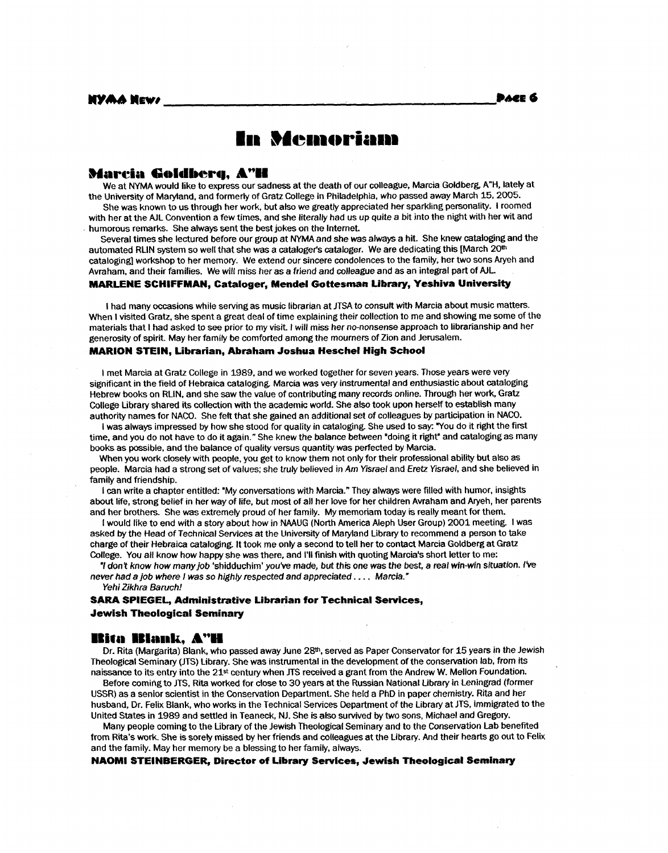# **In Memoriam**

# **.Worreior Cmltlberq, A\*\*H**

We at NYMA would like to express our sadness at the death of our colleague, Marcia Goldberg, A"H, lately at the University of Maryland, and formerly of Gratz College in Philadelphia, who passed away March 15,2005. She was known to us through her work, but also we greatly appreciated her sparkling personality. I roomed with her at the AJL Convention a few times, and she literally had us up quite a bit into the night with her wit and humorous remarks. She always sent the best **jokes** on the Internet.

automated RLIN system *so* well that she was a cataloger's cataloger. We are dedicating this [March 20\* cataloging] workshop to her memory. We extend our sincere condolences to the family, her two sons Aryeh and Avraham, and their families. We **will** miss her as a friend and colleague and as an integral part of AJL Several times she lectured before our group at NYMA and she was always a hit. She knew cataloging and the

## **MARLENE SCHIFFMAN, Cataloger, Mendel Gottesman Library, Yeshiva University**

I had many occasions while serving as music librarian at JTSA to consult with Marcia about music matters. When **1** visited Gratz, she spent a great deal of time explaining their collection to me and showing me some of the materials that **I** had asked to see prior to my visit I will miss her no-nonsense approach to librarianship and her generosity of spirit. May her family be comforted among the mourners of Zion and Jerusalem.

#### **MARION STEIN, Librarian, Abraham Joshua Heschel High School**

**<sup>I</sup>**met Marcia at Gratz College in 1989, and we worked together for seven years. Those years were very significant in the field **of** Hebraica cataloging. Marcia was very instrumental and enthusiastic about cataloging Hebrew books on RLIN, and she saw the value of contributing many records online. Through her work, Gratz College Library shared its collection with the academic world. She also took upon hersetf to establish many authority names for NACO. She felt that she gained an additional set of colleagues by participation in NACO.

**<sup>I</sup>**was always impressed by how she stood for quality in cataloging. She used to say: 'You do it right the first time, and you do not have to do it again." She knew the balance between "doing it right" and cataloging as many books as possible, and the balance of quality versus quantity was perfected by Marcia.

people. Marcia had a strong set of values; she truly believed in Am Yisrael and Eretz Yisrael, and she believed in family and friendship. When you work closely with people, you get to know them not only for their professional ability but also as

**<sup>I</sup>**can write a chapter entitled: 'My conversations with Marcia." They always were filled with humor, insights about life, strong belief in her way of life, but most of all her love for her children Avraham and Aryeh, her parents and her brothers. She **was** extremely proud of her family. My memoriam today is really meant for them.

I would like to end with a story about how in NAAUG (North America Aleph User Group) 2001 meeting. I was asked by the Head of Technical Services at the University of Maryland Library to recommend a persan to take charge of their Hebraica cataloging. It took me only a second to tell her to contact Marcia Goldberg at Gratz College. You all know how happy she was there, and **1'11** finish with quoting Marcia's short letter to me:

never had a *job* where *I* was *so* highly respected and appreciated. . . . Marcia." *7* dont know how many job 'shidduchim' you've made, but this one **w8s** the best, a real win-win Situation. **Ih** 

Yehi Zikhra Baruch!

**SARA** SPIEGEL, **Administrative Librarian for Technical Services, Jewish Theological Seminary** 

# **IBitir Itlairk, AW**

Dr. Rita (Margarita) Blank, who passed away June 28<sup>th</sup>, served as Paper Conservator for 15 years in the Jewish Theological Seminary (JTS) Library. She was instrumental in the development of the conservation lab, from itS naissance to its entry into the 2l5t century when **JTS** received a grant from the Andrew W. Mellon Foundation.

Before coming to JTS, Rita worked for close to 30 years at the Russian National Library in Leningrad (former USSR) as a senior scientist in the Conservation Department. She held a PhD in paper chemistry. Rita and her husband, Dr. Felix Blank, who works in the Technical Services Department of the Library at JTS, immigrated to the United States in 1989 and settled in Teaneck, NJ. She is also survived by two sons, Michael and Gregory.

Many people coming to the Library of the Jewish Theological Seminary and to the Conservation Lab beneffied from Rita's work. She is sorely missed by her friends and colleagues at the Library. And their hearts go out to Felix and the family. May her memory be a blessing to her family, always.

#### **NAOMl STEINBERGER,** Director **of Library Services, Jewish Theological Seminary**

Daee G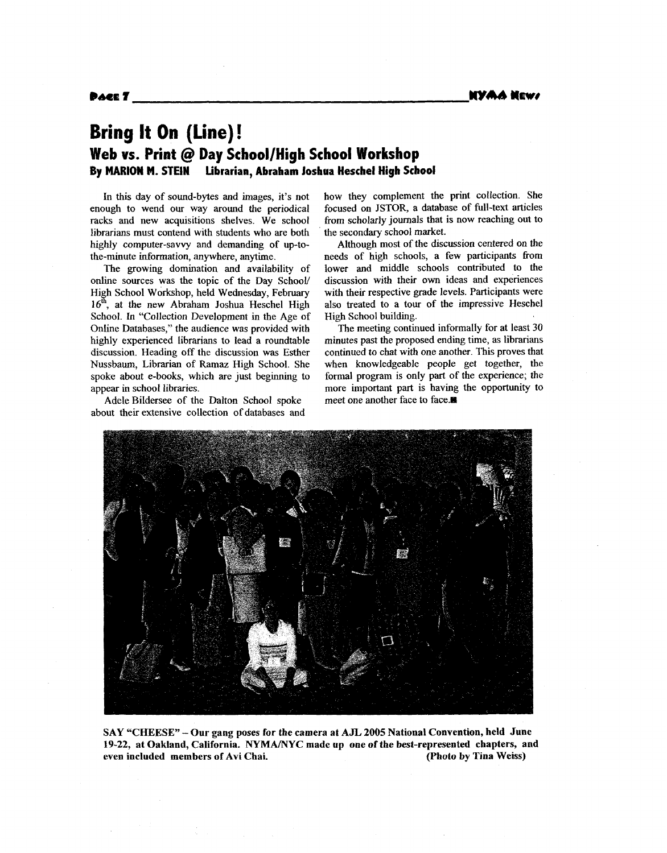### **DACE T**

# **Bring It On (line)! Web vs. Print** @ **Day School/High School Workshop By MARION M. STEIN Librarian, Abraham Joshua Heschel High School**

In this day of sound-bytes and images, it's not enough to wend our way around the periodical racks and new acquisitions shelves. We school librarians must contend with students who are both highly computer-savvy and demanding of up-tothe-minute information, anywhere, anytime.

The growing domination and availability of online sources was the topic of the Day School/ High School Workshop, held Wednesday, February<br>16<sup>th</sup>, at the new Abraham Joshua Heschel High 16<sup>th</sup>, at the new Abraham Joshua Heschel High School. In "Collection Development in the Age of Online Databases," the audience was provided with highly experienced librarians to lead a roundtable discussion. Heading off the discussion was Esther Nussbaum, Librarian of Ramaz High School. She spoke about e-books, which are just beginning to appear in school libraries.

Adele Bildersee of the Dalton School spoke about their extensive collection of databases and how they complement the print collection. She focused **on** JSTOR, a database of full-text articles **from** scholarly journals that is now reaching out to the secondary school market.

Although most of the discussion centered on the needs of high schools, a few participants from lower and middle schools contributed to the discussion with their own ideas and experiences with their respective grade levels. Participants were also treated to a tour of the impressive Heschel High School building.

The meeting continued informally for at least 30 minutes past the proposed ending time, **as** librarians continued to chat with one another. This proves that when knowledgeable people get together, the formal program is only part of the experience; the more important part is having the opportunity to meet one another face to face.



SAY "CHEESE" - Our gang poses for the camera at AJL **2005** National Convention, held June 19-22, at Oakland, California. **NYMA/NYC** made up **one** *of* the best-represented chapters, and even included members of Avi Chai. (Photo by Tina Weiss)